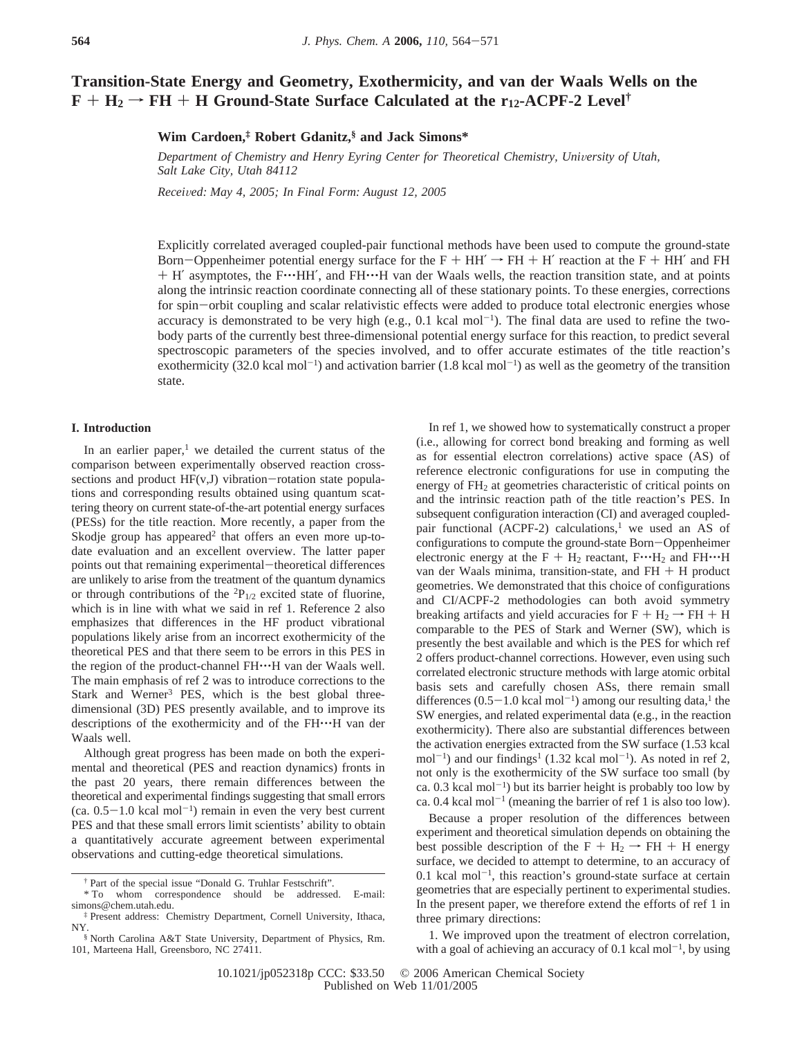# **Transition-State Energy and Geometry, Exothermicity, and van der Waals Wells on the**  $F + H_2 \rightarrow FH + H$  Ground-State Surface Calculated at the r<sub>12</sub>-ACPF-2 Level<sup>†</sup>

**Wim Cardoen,‡ Robert Gdanitz,§ and Jack Simons\***

*Department of Chemistry and Henry Eyring Center for Theoretical Chemistry, University of Utah, Salt Lake City, Utah 84112*

*Recei*V*ed: May 4, 2005; In Final Form: August 12, 2005*

Explicitly correlated averaged coupled-pair functional methods have been used to compute the ground-state Born-Oppenheimer potential energy surface for the F + HH'  $\rightarrow$  FH + H' reaction at the F + HH' and FH + H' asymptotes, the F…HH', and FH…H van der Waals wells, the reaction transition state, and at points along the intrinsic reaction coordinate connecting all of these stationary points. To these energies, corrections for spin-orbit coupling and scalar relativistic effects were added to produce total electronic energies whose accuracy is demonstrated to be very high (e.g.,  $0.1$  kcal mol<sup>-1</sup>). The final data are used to refine the twobody parts of the currently best three-dimensional potential energy surface for this reaction, to predict several spectroscopic parameters of the species involved, and to offer accurate estimates of the title reaction's exothermicity (32.0 kcal mol<sup>-1</sup>) and activation barrier (1.8 kcal mol<sup>-1</sup>) as well as the geometry of the transition state.

## **I. Introduction**

In an earlier paper, $1$  we detailed the current status of the comparison between experimentally observed reaction crosssections and product  $HF(v, J)$  vibration-rotation state populations and corresponding results obtained using quantum scattering theory on current state-of-the-art potential energy surfaces (PESs) for the title reaction. More recently, a paper from the Skodje group has appeared<sup>2</sup> that offers an even more up-todate evaluation and an excellent overview. The latter paper points out that remaining experimental-theoretical differences are unlikely to arise from the treatment of the quantum dynamics or through contributions of the  ${}^{2}P_{1/2}$  excited state of fluorine, which is in line with what we said in ref 1. Reference 2 also emphasizes that differences in the HF product vibrational populations likely arise from an incorrect exothermicity of the theoretical PES and that there seem to be errors in this PES in the region of the product-channel FH $\cdots$ H van der Waals well. The main emphasis of ref 2 was to introduce corrections to the Stark and Werner<sup>3</sup> PES, which is the best global threedimensional (3D) PES presently available, and to improve its descriptions of the exothermicity and of the FH'''H van der Waals well.

Although great progress has been made on both the experimental and theoretical (PES and reaction dynamics) fronts in the past 20 years, there remain differences between the theoretical and experimental findings suggesting that small errors  $(ca. 0.5-1.0 \text{ kcal mol}^{-1})$  remain in even the very best current PES and that these small errors limit scientists' ability to obtain a quantitatively accurate agreement between experimental observations and cutting-edge theoretical simulations.

In ref 1, we showed how to systematically construct a proper (i.e., allowing for correct bond breaking and forming as well as for essential electron correlations) active space (AS) of reference electronic configurations for use in computing the energy of FH<sub>2</sub> at geometries characteristic of critical points on and the intrinsic reaction path of the title reaction's PES. In subsequent configuration interaction (CI) and averaged coupledpair functional (ACPF-2) calculations,<sup>1</sup> we used an AS of configurations to compute the ground-state Born-Oppenheimer electronic energy at the  $F + H_2$  reactant,  $F \cdot H_2$  and  $FH \cdot H$ van der Waals minima, transition-state, and  $FH + H$  product geometries. We demonstrated that this choice of configurations and CI/ACPF-2 methodologies can both avoid symmetry breaking artifacts and yield accuracies for  $F + H_2 \rightarrow FH + H$ comparable to the PES of Stark and Werner (SW), which is presently the best available and which is the PES for which ref 2 offers product-channel corrections. However, even using such correlated electronic structure methods with large atomic orbital basis sets and carefully chosen ASs, there remain small differences  $(0.5-1.0 \text{ kcal mol}^{-1})$  among our resulting data,<sup>1</sup> the SW energies, and related experimental data (e.g., in the reaction exothermicity). There also are substantial differences between the activation energies extracted from the SW surface (1.53 kcal  $mol^{-1}$ ) and our findings<sup>1</sup> (1.32 kcal mol<sup>-1</sup>). As noted in ref 2, not only is the exothermicity of the SW surface too small (by ca.  $0.3$  kcal mol<sup>-1</sup>) but its barrier height is probably too low by ca. 0.4 kcal mol<sup>-1</sup> (meaning the barrier of ref 1 is also too low).

Because a proper resolution of the differences between experiment and theoretical simulation depends on obtaining the best possible description of the  $F + H_2 \rightarrow FH + H$  energy surface, we decided to attempt to determine, to an accuracy of  $0.1$  kcal mol<sup>-1</sup>, this reaction's ground-state surface at certain geometries that are especially pertinent to experimental studies. In the present paper, we therefore extend the efforts of ref 1 in three primary directions:

1. We improved upon the treatment of electron correlation, with a goal of achieving an accuracy of 0.1 kcal mol<sup> $-1$ </sup>, by using

<sup>†</sup> Part of the special issue "Donald G. Truhlar Festschrift".

<sup>\*</sup> To whom correspondence should be addressed. E-mail: simons@chem.utah.edu.

<sup>‡</sup> Present address: Chemistry Department, Cornell University, Ithaca, NY.

<sup>§</sup> North Carolina A&T State University, Department of Physics, Rm. 101, Marteena Hall, Greensboro, NC 27411.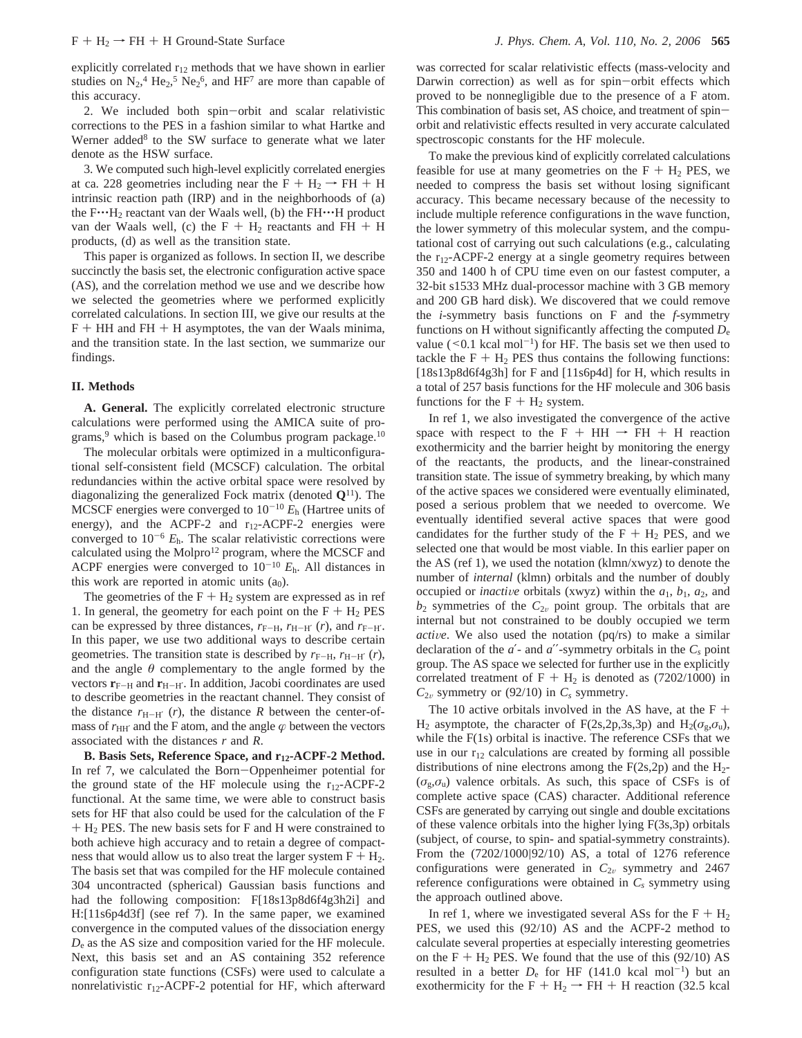explicitly correlated  $r_{12}$  methods that we have shown in earlier studies on  $N_2$ ,<sup>4</sup> He<sub>2</sub>,<sup>5</sup> Ne<sub>2</sub><sup>6</sup>, and HF<sup>7</sup> are more than capable of this accuracy.

2. We included both spin-orbit and scalar relativistic corrections to the PES in a fashion similar to what Hartke and Werner added<sup>8</sup> to the SW surface to generate what we later denote as the HSW surface.

3. We computed such high-level explicitly correlated energies at ca. 228 geometries including near the  $F + H_2 \rightarrow FH + H$ intrinsic reaction path (IRP) and in the neighborhoods of (a) the  $F^{\cdots}H_2$  reactant van der Waals well, (b) the  $FH^{\cdots}H$  product van der Waals well, (c) the  $F + H_2$  reactants and  $FH + H$ products, (d) as well as the transition state.

This paper is organized as follows. In section II, we describe succinctly the basis set, the electronic configuration active space (AS), and the correlation method we use and we describe how we selected the geometries where we performed explicitly correlated calculations. In section III, we give our results at the  $F + HH$  and  $FH + H$  asymptotes, the van der Waals minima, and the transition state. In the last section, we summarize our findings.

### **II. Methods**

**A. General.** The explicitly correlated electronic structure calculations were performed using the AMICA suite of programs,<sup>9</sup> which is based on the Columbus program package.<sup>10</sup>

The molecular orbitals were optimized in a multiconfigurational self-consistent field (MCSCF) calculation. The orbital redundancies within the active orbital space were resolved by diagonalizing the generalized Fock matrix (denoted **Q**11). The MCSCF energies were converged to  $10^{-10} E_h$  (Hartree units of energy), and the ACPF-2 and r<sub>12</sub>-ACPF-2 energies were converged to  $10^{-6}$   $E_h$ . The scalar relativistic corrections were calculated using the Molpro<sup>12</sup> program, where the MCSCF and ACPF energies were converged to  $10^{-10}$   $E_h$ . All distances in this work are reported in atomic units  $(a_0)$ .

The geometries of the  $F + H_2$  system are expressed as in ref 1. In general, the geometry for each point on the  $F + H_2$  PES can be expressed by three distances,  $r_{F-H}$ ,  $r_{H-H'}$  (*r*), and  $r_{F-H'}$ . In this paper, we use two additional ways to describe certain geometries. The transition state is described by  $r_{F-H}$ ,  $r_{H-H'}(r)$ , and the angle  $\theta$  complementary to the angle formed by the vectors  $\mathbf{r}_{\text{F-H}}$  and  $\mathbf{r}_{\text{H-H'}}$ . In addition, Jacobi coordinates are used to describe geometries in the reactant channel. They consist of the distance  $r_{\text{H}-\text{H}'}$  (*r*), the distance *R* between the center-ofmass of  $r_{HH'}$  and the F atom, and the angle  $\varphi$  between the vectors associated with the distances *r* and *R*.

**B. Basis Sets, Reference Space, and r12-ACPF-2 Method.** In ref 7, we calculated the Born-Oppenheimer potential for the ground state of the HF molecule using the  $r_{12}$ -ACPF-2 functional. At the same time, we were able to construct basis sets for HF that also could be used for the calculation of the F <sup>+</sup> H2 PES. The new basis sets for F and H were constrained to both achieve high accuracy and to retain a degree of compactness that would allow us to also treat the larger system  $F + H_2$ . The basis set that was compiled for the HF molecule contained 304 uncontracted (spherical) Gaussian basis functions and had the following composition: F[18s13p8d6f4g3h2i] and H:[11s6p4d3f] (see ref 7). In the same paper, we examined convergence in the computed values of the dissociation energy *D*<sup>e</sup> as the AS size and composition varied for the HF molecule. Next, this basis set and an AS containing 352 reference configuration state functions (CSFs) were used to calculate a nonrelativistic  $r_{12}$ -ACPF-2 potential for HF, which afterward

was corrected for scalar relativistic effects (mass-velocity and Darwin correction) as well as for spin-orbit effects which proved to be nonnegligible due to the presence of a F atom. This combination of basis set, AS choice, and treatment of spinorbit and relativistic effects resulted in very accurate calculated spectroscopic constants for the HF molecule.

To make the previous kind of explicitly correlated calculations feasible for use at many geometries on the  $F + H_2$  PES, we needed to compress the basis set without losing significant accuracy. This became necessary because of the necessity to include multiple reference configurations in the wave function, the lower symmetry of this molecular system, and the computational cost of carrying out such calculations (e.g., calculating the r12-ACPF-2 energy at a single geometry requires between 350 and 1400 h of CPU time even on our fastest computer, a 32-bit s1533 MHz dual-processor machine with 3 GB memory and 200 GB hard disk). We discovered that we could remove the *i*-symmetry basis functions on F and the *f*-symmetry functions on H without significantly affecting the computed *D*<sup>e</sup> value ( $0.1$  kcal mol<sup>-1</sup>) for HF. The basis set we then used to tackle the  $F + H_2$  PES thus contains the following functions: [18s13p8d6f4g3h] for F and [11s6p4d] for H, which results in a total of 257 basis functions for the HF molecule and 306 basis functions for the  $F + H_2$  system.

In ref 1, we also investigated the convergence of the active space with respect to the F + HH  $\rightarrow$  FH + H reaction exothermicity and the barrier height by monitoring the energy of the reactants, the products, and the linear-constrained transition state. The issue of symmetry breaking, by which many of the active spaces we considered were eventually eliminated, posed a serious problem that we needed to overcome. We eventually identified several active spaces that were good candidates for the further study of the  $F + H_2$  PES, and we selected one that would be most viable. In this earlier paper on the AS (ref 1), we used the notation (klmn/xwyz) to denote the number of *internal* (klmn) orbitals and the number of doubly occupied or *inactive* orbitals (xwyz) within the  $a_1$ ,  $b_1$ ,  $a_2$ , and  $b_2$  symmetries of the  $C_{2v}$  point group. The orbitals that are internal but not constrained to be doubly occupied we term *active*. We also used the notation (pq/rs) to make a similar declaration of the  $a'$ - and  $a''$ -symmetry orbitals in the  $C_s$  point group. The AS space we selected for further use in the explicitly correlated treatment of  $F + H_2$  is denoted as (7202/1000) in  $C_{2v}$  symmetry or (92/10) in  $C_s$  symmetry.

The 10 active orbitals involved in the AS have, at the  $F +$ H<sub>2</sub> asymptote, the character of F(2s,2p,3s,3p) and H<sub>2</sub>( $\sigma$ <sub>g</sub>, $\sigma$ <sub>u</sub>), while the F(1s) orbital is inactive. The reference CSFs that we use in our  $r_{12}$  calculations are created by forming all possible distributions of nine electrons among the  $F(2s,2p)$  and the  $H_2$ - $(\sigma_{\alpha}, \sigma_{\alpha})$  valence orbitals. As such, this space of CSFs is of complete active space (CAS) character. Additional reference CSFs are generated by carrying out single and double excitations of these valence orbitals into the higher lying F(3s,3p) orbitals (subject, of course, to spin- and spatial-symmetry constraints). From the (7202/1000|92/10) AS, a total of 1276 reference configurations were generated in  $C_{2v}$  symmetry and 2467 reference configurations were obtained in *Cs* symmetry using the approach outlined above.

In ref 1, where we investigated several ASs for the  $F + H_2$ PES, we used this (92/10) AS and the ACPF-2 method to calculate several properties at especially interesting geometries on the  $F + H_2$  PES. We found that the use of this (92/10) AS resulted in a better  $D_e$  for HF (141.0 kcal mol<sup>-1</sup>) but an exothermicity for the  $F + H_2 \rightarrow FH + H$  reaction (32.5 kcal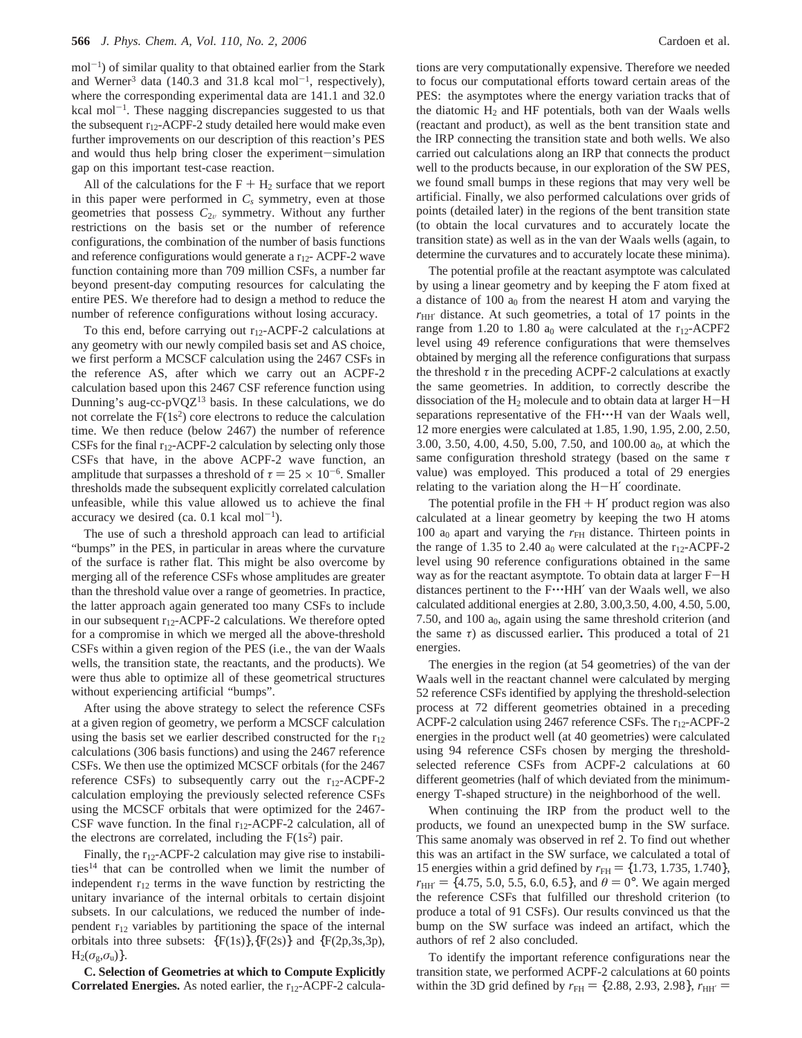$mol^{-1}$ ) of similar quality to that obtained earlier from the Stark and Werner<sup>3</sup> data (140.3 and 31.8 kcal mol<sup>-1</sup>, respectively), where the corresponding experimental data are 141.1 and 32.0 kcal mol<sup>-1</sup>. These nagging discrepancies suggested to us that the subsequent  $r_{12}$ -ACPF-2 study detailed here would make even further improvements on our description of this reaction's PES and would thus help bring closer the experiment-simulation gap on this important test-case reaction.

All of the calculations for the  $F + H_2$  surface that we report in this paper were performed in  $C_s$  symmetry, even at those geometries that possess  $C_{2v}$  symmetry. Without any further restrictions on the basis set or the number of reference configurations, the combination of the number of basis functions and reference configurations would generate a  $r_{12}$ - ACPF-2 wave function containing more than 709 million CSFs, a number far beyond present-day computing resources for calculating the entire PES. We therefore had to design a method to reduce the number of reference configurations without losing accuracy.

To this end, before carrying out  $r_{12}$ -ACPF-2 calculations at any geometry with our newly compiled basis set and AS choice, we first perform a MCSCF calculation using the 2467 CSFs in the reference AS, after which we carry out an ACPF-2 calculation based upon this 2467 CSF reference function using Dunning's aug-cc-pVQZ13 basis. In these calculations, we do not correlate the  $F(1s^2)$  core electrons to reduce the calculation time. We then reduce (below 2467) the number of reference CSFs for the final  $r_{12}$ -ACPF-2 calculation by selecting only those CSFs that have, in the above ACPF-2 wave function, an amplitude that surpasses a threshold of  $\tau = 25 \times 10^{-6}$ . Smaller thresholds made the subsequent explicitly correlated calculation unfeasible, while this value allowed us to achieve the final accuracy we desired (ca.  $0.1$  kcal mol<sup>-1</sup>).

The use of such a threshold approach can lead to artificial "bumps" in the PES, in particular in areas where the curvature of the surface is rather flat. This might be also overcome by merging all of the reference CSFs whose amplitudes are greater than the threshold value over a range of geometries. In practice, the latter approach again generated too many CSFs to include in our subsequent  $r_{12}$ -ACPF-2 calculations. We therefore opted for a compromise in which we merged all the above-threshold CSFs within a given region of the PES (i.e., the van der Waals wells, the transition state, the reactants, and the products). We were thus able to optimize all of these geometrical structures without experiencing artificial "bumps".

After using the above strategy to select the reference CSFs at a given region of geometry, we perform a MCSCF calculation using the basis set we earlier described constructed for the  $r_{12}$ calculations (306 basis functions) and using the 2467 reference CSFs. We then use the optimized MCSCF orbitals (for the 2467 reference CSFs) to subsequently carry out the  $r_{12}$ -ACPF-2 calculation employing the previously selected reference CSFs using the MCSCF orbitals that were optimized for the 2467- CSF wave function. In the final  $r_{12}$ -ACPF-2 calculation, all of the electrons are correlated, including the  $F(1s^2)$  pair.

Finally, the  $r_{12}$ -ACPF-2 calculation may give rise to instabilities<sup>14</sup> that can be controlled when we limit the number of independent  $r_{12}$  terms in the wave function by restricting the unitary invariance of the internal orbitals to certain disjoint subsets. In our calculations, we reduced the number of independent  $r_{12}$  variables by partitioning the space of the internal orbitals into three subsets:  ${F(1s)}{F(2s)}$  and  ${F(2p,3s,3p)}$ ,  $H_2(\sigma_g, \sigma_u)$ .

**C. Selection of Geometries at which to Compute Explicitly Correlated Energies.** As noted earlier, the r<sub>12</sub>-ACPF-2 calcula-

tions are very computationally expensive. Therefore we needed to focus our computational efforts toward certain areas of the PES: the asymptotes where the energy variation tracks that of the diatomic  $H_2$  and HF potentials, both van der Waals wells (reactant and product), as well as the bent transition state and the IRP connecting the transition state and both wells. We also carried out calculations along an IRP that connects the product well to the products because, in our exploration of the SW PES, we found small bumps in these regions that may very well be artificial. Finally, we also performed calculations over grids of points (detailed later) in the regions of the bent transition state (to obtain the local curvatures and to accurately locate the transition state) as well as in the van der Waals wells (again, to determine the curvatures and to accurately locate these minima).

The potential profile at the reactant asymptote was calculated by using a linear geometry and by keeping the F atom fixed at a distance of 100  $a_0$  from the nearest H atom and varying the  $r<sub>HH'</sub>$  distance. At such geometries, a total of 17 points in the range from 1.20 to 1.80  $a_0$  were calculated at the r<sub>12</sub>-ACPF2 level using 49 reference configurations that were themselves obtained by merging all the reference configurations that surpass the threshold  $\tau$  in the preceding ACPF-2 calculations at exactly the same geometries. In addition, to correctly describe the dissociation of the  $H_2$  molecule and to obtain data at larger  $H-H$ separations representative of the FH $\cdots$ H van der Waals well, 12 more energies were calculated at 1.85, 1.90, 1.95, 2.00, 2.50, 3.00, 3.50, 4.00, 4.50, 5.00, 7.50, and 100.00  $a_0$ , at which the same configuration threshold strategy (based on the same *τ* value) was employed. This produced a total of 29 energies relating to the variation along the  $H-H'$  coordinate.

The potential profile in the  $FH + H'$  product region was also calculated at a linear geometry by keeping the two H atoms 100  $a_0$  apart and varying the  $r<sub>FH</sub>$  distance. Thirteen points in the range of 1.35 to 2.40  $a_0$  were calculated at the  $r_{12}$ -ACPF-2 level using 90 reference configurations obtained in the same way as for the reactant asymptote. To obtain data at larger F-<sup>H</sup> distances pertinent to the F···HH' van der Waals well, we also calculated additional energies at 2.80, 3.00,3.50, 4.00, 4.50, 5.00, 7.50, and 100  $a_0$ , again using the same threshold criterion (and the same *τ*) as discussed earlier**.** This produced a total of 21 energies.

The energies in the region (at 54 geometries) of the van der Waals well in the reactant channel were calculated by merging 52 reference CSFs identified by applying the threshold-selection process at 72 different geometries obtained in a preceding ACPF-2 calculation using 2467 reference CSFs. The r<sub>12</sub>-ACPF-2 energies in the product well (at 40 geometries) were calculated using 94 reference CSFs chosen by merging the thresholdselected reference CSFs from ACPF-2 calculations at 60 different geometries (half of which deviated from the minimumenergy T-shaped structure) in the neighborhood of the well.

When continuing the IRP from the product well to the products, we found an unexpected bump in the SW surface. This same anomaly was observed in ref 2. To find out whether this was an artifact in the SW surface, we calculated a total of 15 energies within a grid defined by  $r_{FH} = \{1.73, 1.735, 1.740\},\$  $r_{\text{HH'}} = \{4.75, 5.0, 5.5, 6.0, 6.5\}$ , and  $\theta = 0^{\circ}$ . We again merged the reference CSFs that fulfilled our threshold criterion (to produce a total of 91 CSFs). Our results convinced us that the bump on the SW surface was indeed an artifact, which the authors of ref 2 also concluded.

To identify the important reference configurations near the transition state, we performed ACPF-2 calculations at 60 points within the 3D grid defined by  $r_{FH} = \{2.88, 2.93, 2.98\}$ ,  $r_{HH'} =$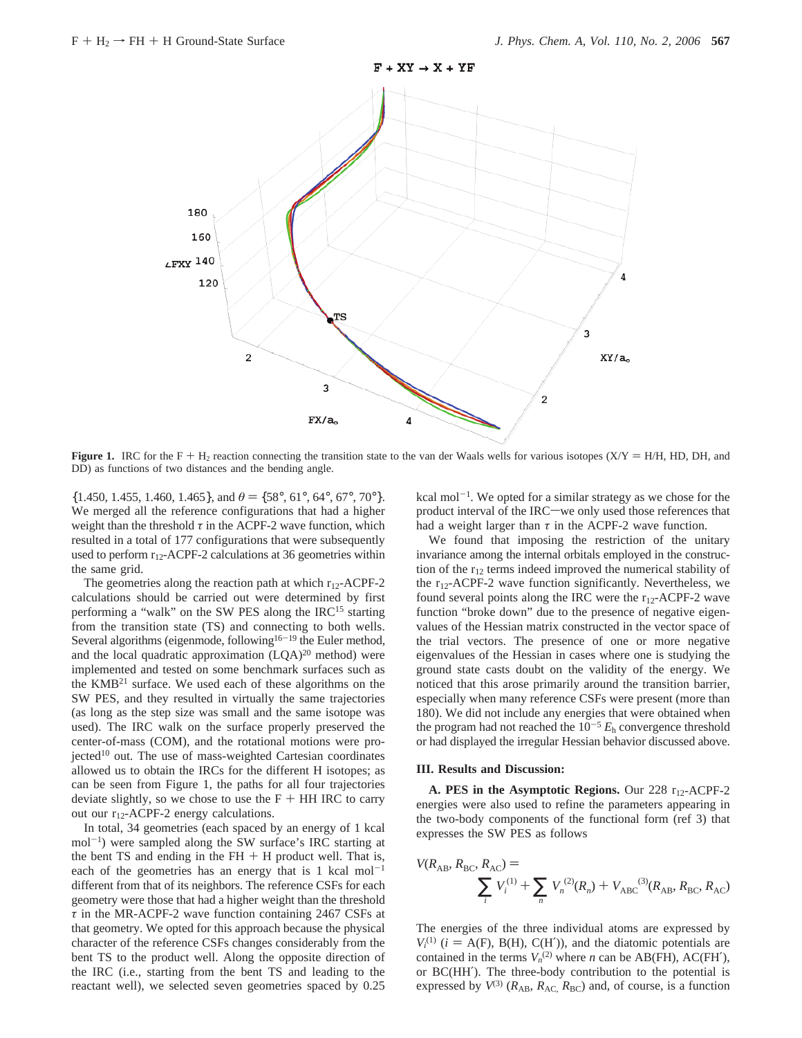

**Figure 1.** IRC for the F + H<sub>2</sub> reaction connecting the transition state to the van der Waals wells for various isotopes (X/Y = H/H, HD, DH, and DD) as functions of two distances and the bending angle.

 $\{1.450, 1.455, 1.460, 1.465\}$ , and  $\theta = \{58^\circ, 61^\circ, 64^\circ, 67^\circ, 70^\circ\}$ . We merged all the reference configurations that had a higher weight than the threshold  $\tau$  in the ACPF-2 wave function, which resulted in a total of 177 configurations that were subsequently used to perform  $r_{12}$ -ACPF-2 calculations at 36 geometries within the same grid.

The geometries along the reaction path at which  $r_{12}$ -ACPF-2 calculations should be carried out were determined by first performing a "walk" on the SW PES along the IRC<sup>15</sup> starting from the transition state (TS) and connecting to both wells. Several algorithms (eigenmode, following<sup>16-19</sup> the Euler method, and the local quadratic approximation  $(LQA)^{20}$  method) were implemented and tested on some benchmark surfaces such as the KMB21 surface. We used each of these algorithms on the SW PES, and they resulted in virtually the same trajectories (as long as the step size was small and the same isotope was used). The IRC walk on the surface properly preserved the center-of-mass (COM), and the rotational motions were projected<sup>10</sup> out. The use of mass-weighted Cartesian coordinates allowed us to obtain the IRCs for the different H isotopes; as can be seen from Figure 1, the paths for all four trajectories deviate slightly, so we chose to use the  $F + HH$  IRC to carry out our  $r_{12}$ -ACPF-2 energy calculations.

In total, 34 geometries (each spaced by an energy of 1 kcal  $mol^{-1}$ ) were sampled along the SW surface's IRC starting at the bent TS and ending in the  $FH + H$  product well. That is, each of the geometries has an energy that is 1 kcal mol<sup>-1</sup> different from that of its neighbors. The reference CSFs for each geometry were those that had a higher weight than the threshold *τ* in the MR-ACPF-2 wave function containing 2467 CSFs at that geometry. We opted for this approach because the physical character of the reference CSFs changes considerably from the bent TS to the product well. Along the opposite direction of the IRC (i.e., starting from the bent TS and leading to the reactant well), we selected seven geometries spaced by 0.25 kcal mol<sup> $-1$ </sup>. We opted for a similar strategy as we chose for the product interval of the IRC-we only used those references that had a weight larger than  $\tau$  in the ACPF-2 wave function.

We found that imposing the restriction of the unitary invariance among the internal orbitals employed in the construction of the  $r_{12}$  terms indeed improved the numerical stability of the  $r_{12}$ -ACPF-2 wave function significantly. Nevertheless, we found several points along the IRC were the  $r_{12}$ -ACPF-2 wave function "broke down" due to the presence of negative eigenvalues of the Hessian matrix constructed in the vector space of the trial vectors. The presence of one or more negative eigenvalues of the Hessian in cases where one is studying the ground state casts doubt on the validity of the energy. We noticed that this arose primarily around the transition barrier, especially when many reference CSFs were present (more than 180). We did not include any energies that were obtained when the program had not reached the 10-<sup>5</sup> *E*<sup>h</sup> convergence threshold or had displayed the irregular Hessian behavior discussed above.

# **III. Results and Discussion:**

A. PES in the Asymptotic Regions. Our 228 r<sub>12</sub>-ACPF-2 energies were also used to refine the parameters appearing in the two-body components of the functional form (ref 3) that expresses the SW PES as follows

$$
V(R_{AB}, R_{BC}, R_{AC}) = \sum_{i} V_i^{(1)} + \sum_{n} V_n^{(2)}(R_n) + V_{ABC}^{(3)}(R_{AB}, R_{BC}, R_{AC})
$$

The energies of the three individual atoms are expressed by  $V_i^{(1)}$  (*i* = A(F), B(H), C(H')), and the diatomic potentials are<br>contained in the terms  $V_{\gamma}^{(2)}$  where *n* can be AR(FH) AC(FH') contained in the terms  $V_n^{(2)}$  where *n* can be AB(FH), AC(FH'), or BC(HH′). The three-body contribution to the potential is expressed by  $V^{(3)}$  ( $R_{AB}$ ,  $R_{AC}$ ,  $R_{BC}$ ) and, of course, is a function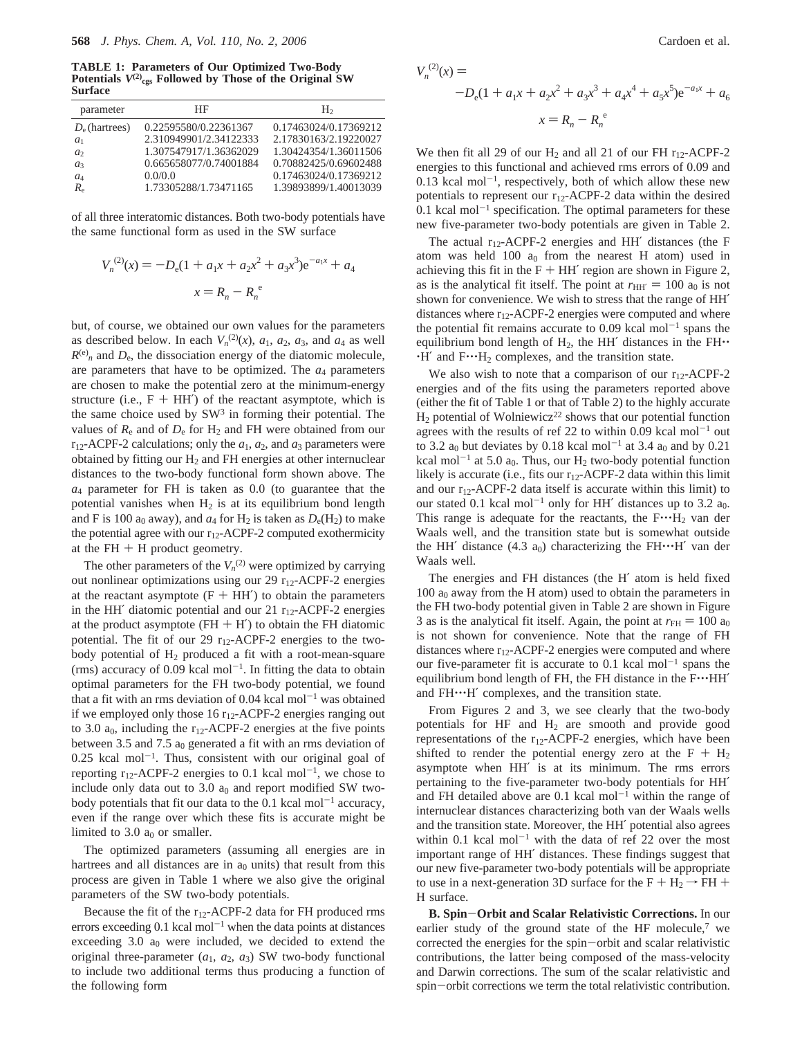**TABLE 1: Parameters of Our Optimized Two-Body** Potentials  $V^{(2)}_{\text{cgs}}$  Followed by Those of the Original SW **Surface**

| parameter        | НF                     | H                     |
|------------------|------------------------|-----------------------|
| $D_e$ (hartrees) | 0.22595580/0.22361367  | 0.17463024/0.17369212 |
| a <sub>1</sub>   | 2.310949901/2.34122333 | 2.17830163/2.19220027 |
| a <sub>2</sub>   | 1.307547917/1.36362029 | 1.30424354/1.36011506 |
| $a_3$            | 0.665658077/0.74001884 | 0.70882425/0.69602488 |
| $a_4$            | 0.0/0.0                | 0.17463024/0.17369212 |
| $R_{\rm e}$      | 1.73305288/1.73471165  | 1.39893899/1.40013039 |
|                  |                        |                       |

of all three interatomic distances. Both two-body potentials have the same functional form as used in the SW surface

$$
V_n^{(2)}(x) = -D_e(1 + a_1x + a_2x^2 + a_3x^3)e^{-a_1x} + a_4
$$

$$
x = R_n - R_n^e
$$

but, of course, we obtained our own values for the parameters as described below. In each  $V_n^{(2)}(x)$ ,  $a_1$ ,  $a_2$ ,  $a_3$ , and  $a_4$  as well  $R^{(e)}$ <sub>n</sub> and  $D_e$ , the dissociation energy of the diatomic molecule, are parameters that have to be optimized. The *a*<sup>4</sup> parameters are chosen to make the potential zero at the minimum-energy structure (i.e.,  $F + HH'$ ) of the reactant asymptote, which is the same choice used by  $SW<sup>3</sup>$  in forming their potential. The values of  $R_e$  and of  $D_e$  for  $H_2$  and FH were obtained from our  $r_{12}$ -ACPF-2 calculations; only the  $a_1$ ,  $a_2$ , and  $a_3$  parameters were obtained by fitting our  $H_2$  and FH energies at other internuclear distances to the two-body functional form shown above. The *a*<sup>4</sup> parameter for FH is taken as 0.0 (to guarantee that the potential vanishes when  $H_2$  is at its equilibrium bond length and F is 100  $a_0$  away), and  $a_4$  for  $H_2$  is taken as  $D_e(H_2)$  to make the potential agree with our  $r_{12}$ -ACPF-2 computed exothermicity at the  $FH + H$  product geometry.

The other parameters of the  $V_n$ <sup>(2)</sup> were optimized by carrying out nonlinear optimizations using our 29  $r_{12}$ -ACPF-2 energies at the reactant asymptote  $(F + HH')$  to obtain the parameters in the HH $^{\prime}$  diatomic potential and our 21  $r_{12}$ -ACPF-2 energies at the product asymptote ( $FH + H'$ ) to obtain the FH diatomic potential. The fit of our 29  $r_{12}$ -ACPF-2 energies to the twobody potential of  $H_2$  produced a fit with a root-mean-square (rms) accuracy of 0.09 kcal mol<sup>-1</sup>. In fitting the data to obtain optimal parameters for the FH two-body potential, we found that a fit with an rms deviation of  $0.04$  kcal mol<sup>-1</sup> was obtained if we employed only those 16  $r_{12}$ -ACPF-2 energies ranging out to 3.0  $a_0$ , including the r<sub>12</sub>-ACPF-2 energies at the five points between 3.5 and 7.5  $a_0$  generated a fit with an rms deviation of  $0.25$  kcal mol<sup>-1</sup>. Thus, consistent with our original goal of reporting  $r_{12}$ -ACPF-2 energies to 0.1 kcal mol<sup>-1</sup>, we chose to include only data out to 3.0  $a_0$  and report modified SW twobody potentials that fit our data to the  $0.1$  kcal mol<sup>-1</sup> accuracy, even if the range over which these fits is accurate might be limited to 3.0  $a_0$  or smaller.

The optimized parameters (assuming all energies are in hartrees and all distances are in  $a_0$  units) that result from this process are given in Table 1 where we also give the original parameters of the SW two-body potentials.

Because the fit of the  $r_{12}$ -ACPF-2 data for FH produced rms errors exceeding  $0.1$  kcal mol<sup>-1</sup> when the data points at distances exceeding  $3.0$  a<sub>0</sub> were included, we decided to extend the original three-parameter  $(a_1, a_2, a_3)$  SW two-body functional to include two additional terms thus producing a function of the following form

$$
V_n^{(2)}(x) = -D_e(1 + a_1x + a_2x^2 + a_3x^3 + a_4x^4 + a_5x^5)e^{-a_1x} + a_6
$$
  

$$
x = R_n - R_n^e
$$

We then fit all 29 of our  $H_2$  and all 21 of our FH  $r_{12}$ -ACPF-2 energies to this functional and achieved rms errors of 0.09 and  $0.13$  kcal mol<sup>-1</sup>, respectively, both of which allow these new potentials to represent our  $r_{12}$ -ACPF-2 data within the desired  $0.1$  kcal mol<sup>-1</sup> specification. The optimal parameters for these new five-parameter two-body potentials are given in Table 2.

The actual  $r_{12}$ -ACPF-2 energies and HH' distances (the F atom was held  $100 a<sub>0</sub>$  from the nearest H atom) used in achieving this fit in the  $F + HH'$  region are shown in Figure 2, as is the analytical fit itself. The point at  $r_{HH'} = 100 a_0$  is not shown for convenience. We wish to stress that the range of HH′ distances where  $r_{12}$ -ACPF-2 energies were computed and where the potential fit remains accurate to 0.09 kcal mol<sup>-1</sup> spans the equilibrium bond length of  $H_2$ , the HH' distances in the FH $\cdot$  $H'$  and  $F^{\bullet}H_2$  complexes, and the transition state.

We also wish to note that a comparison of our  $r_{12}$ -ACPF-2 energies and of the fits using the parameters reported above (either the fit of Table 1 or that of Table 2) to the highly accurate  $H_2$  potential of Wolniewicz<sup>22</sup> shows that our potential function agrees with the results of ref 22 to within  $0.09$  kcal mol<sup>-1</sup> out to 3.2  $a_0$  but deviates by 0.18 kcal mol<sup>-1</sup> at 3.4  $a_0$  and by 0.21 kcal mol<sup>-1</sup> at 5.0 a<sub>0</sub>. Thus, our H<sub>2</sub> two-body potential function likely is accurate (i.e., fits our  $r_{12}$ -ACPF-2 data within this limit and our  $r_{12}$ -ACPF-2 data itself is accurate within this limit) to our stated 0.1 kcal mol<sup>-1</sup> only for HH $^{\prime}$  distances up to 3.2 a<sub>0</sub>. This range is adequate for the reactants, the  $F^{\bullet \bullet}H_2$  van der Waals well, and the transition state but is somewhat outside the HH' distance (4.3  $a_0$ ) characterizing the FH $\cdot\cdot$ +H' van der Waals well.

The energies and FH distances (the H′ atom is held fixed  $100$  a<sub>0</sub> away from the H atom) used to obtain the parameters in the FH two-body potential given in Table 2 are shown in Figure 3 as is the analytical fit itself. Again, the point at  $r_{\text{FH}} = 100 a_0$ is not shown for convenience. Note that the range of FH distances where  $r_{12}$ -ACPF-2 energies were computed and where our five-parameter fit is accurate to  $0.1$  kcal mol<sup>-1</sup> spans the equilibrium bond length of FH, the FH distance in the F $\cdots$ HH' and FH $\cdot\cdot$ -H' complexes, and the transition state.

From Figures 2 and 3, we see clearly that the two-body potentials for HF and  $H_2$  are smooth and provide good representations of the  $r_{12}$ -ACPF-2 energies, which have been shifted to render the potential energy zero at the  $F + H_2$ asymptote when HH′ is at its minimum. The rms errors pertaining to the five-parameter two-body potentials for HH′ and FH detailed above are  $0.1$  kcal mol<sup>-1</sup> within the range of internuclear distances characterizing both van der Waals wells and the transition state. Moreover, the HH′ potential also agrees within 0.1 kcal mol<sup>-1</sup> with the data of ref 22 over the most important range of HH′ distances. These findings suggest that our new five-parameter two-body potentials will be appropriate to use in a next-generation 3D surface for the  $F + H_2 \rightarrow FH +$ H surface.

**B. Spin**-**Orbit and Scalar Relativistic Corrections.** In our earlier study of the ground state of the HF molecule, $7$  we corrected the energies for the spin-orbit and scalar relativistic contributions, the latter being composed of the mass-velocity and Darwin corrections. The sum of the scalar relativistic and spin-orbit corrections we term the total relativistic contribution.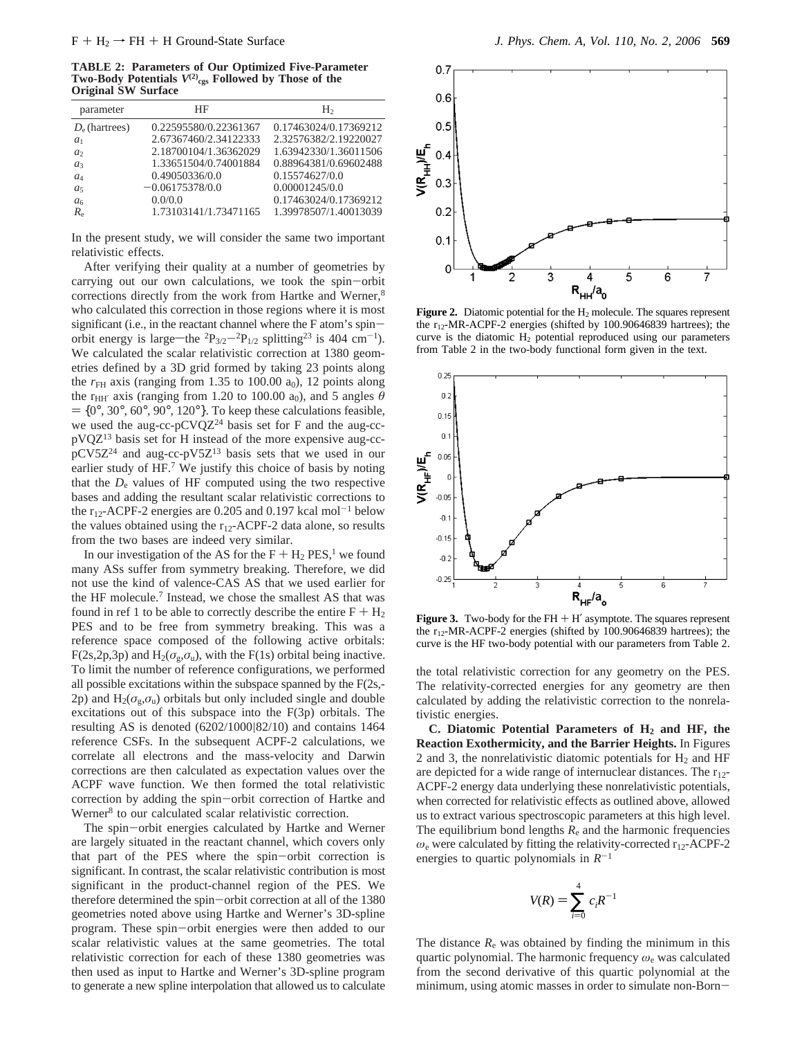**TABLE 2: Parameters of Our Optimized Five-Parameter** Two-Body Potentials  $V^{(2)}_{\text{cgs}}$  Followed by Those of the **Original SW Surface**

| parameter                     | ΗF                    | H <sub>2</sub>        |
|-------------------------------|-----------------------|-----------------------|
| $D_e$ (hartrees)              | 0.22595580/0.22361367 | 0.17463024/0.17369212 |
| $a_1$                         | 2.67367460/2.34122333 | 2.32576382/2.19220027 |
| a <sub>2</sub>                | 2.18700104/1.36362029 | 1.63942330/1.36011506 |
| $a_3$                         | 1.33651504/0.74001884 | 0.88964381/0.69602488 |
| $a_4$                         | 0.49050336/0.0        | 0.15574627/0.0        |
| a <sub>5</sub>                | $-0.06175378/0.0$     | 0.00001245/0.0        |
| a <sub>6</sub>                | 0.0/0.0               | 0.17463024/0.17369212 |
| $R_{\scriptscriptstyle\rm e}$ | 1.73103141/1.73471165 | 1.39978507/1.40013039 |
|                               |                       |                       |

In the present study, we will consider the same two important relativistic effects.

After verifying their quality at a number of geometries by carrying out our own calculations, we took the spin-orbit corrections directly from the work from Hartke and Werner,<sup>8</sup> who calculated this correction in those regions where it is most significant (i.e., in the reactant channel where the F atom's spinorbit energy is large—the  ${}^{2}P_{3/2}{}^{-2}P_{1/2}$  splitting<sup>23</sup> is 404 cm<sup>-1</sup>). We calculated the scalar relativistic correction at 1380 geometries defined by a 3D grid formed by taking 23 points along the  $r<sub>FH</sub>$  axis (ranging from 1.35 to 100.00  $a<sub>0</sub>$ ), 12 points along the r<sub>HH'</sub> axis (ranging from 1.20 to 100.00 a<sub>0</sub>), and 5 angles  $\theta$  $=$  {0°, 30°, 60°, 90°, 120°}. To keep these calculations feasible, we used the aug-cc-pCVQ $Z^{24}$  basis set for F and the aug-ccpVQZ13 basis set for H instead of the more expensive aug-ccpCV5Z24 and aug-cc-pV5Z13 basis sets that we used in our earlier study of HF.<sup>7</sup> We justify this choice of basis by noting that the  $D<sub>e</sub>$  values of HF computed using the two respective bases and adding the resultant scalar relativistic corrections to the  $r_{12}$ -ACPF-2 energies are 0.205 and 0.197 kcal mol<sup>-1</sup> below the values obtained using the  $r_{12}$ -ACPF-2 data alone, so results from the two bases are indeed very similar.

In our investigation of the AS for the  $F + H_2$  PES,<sup>1</sup> we found many ASs suffer from symmetry breaking. Therefore, we did not use the kind of valence-CAS AS that we used earlier for the HF molecule.7 Instead, we chose the smallest AS that was found in ref 1 to be able to correctly describe the entire  $F + H_2$ PES and to be free from symmetry breaking. This was a reference space composed of the following active orbitals: F(2s,2p,3p) and  $H_2(\sigma_g, \sigma_u)$ , with the F(1s) orbital being inactive. To limit the number of reference configurations, we performed all possible excitations within the subspace spanned by the F(2s,- 2p) and  $H_2(\sigma_{\varphi}, \sigma_{\varphi})$  orbitals but only included single and double excitations out of this subspace into the F(3p) orbitals. The resulting AS is denoted (6202/1000|82/10) and contains 1464 reference CSFs. In the subsequent ACPF-2 calculations, we correlate all electrons and the mass-velocity and Darwin corrections are then calculated as expectation values over the ACPF wave function. We then formed the total relativistic correction by adding the spin-orbit correction of Hartke and Werner<sup>8</sup> to our calculated scalar relativistic correction.

The spin-orbit energies calculated by Hartke and Werner are largely situated in the reactant channel, which covers only that part of the PES where the spin-orbit correction is significant. In contrast, the scalar relativistic contribution is most significant in the product-channel region of the PES. We therefore determined the spin-orbit correction at all of the 1380 geometries noted above using Hartke and Werner's 3D-spline program. These spin-orbit energies were then added to our scalar relativistic values at the same geometries. The total relativistic correction for each of these 1380 geometries was then used as input to Hartke and Werner's 3D-spline program to generate a new spline interpolation that allowed us to calculate



Figure 2. Diatomic potential for the H<sub>2</sub> molecule. The squares represent the r12-MR-ACPF-2 energies (shifted by 100.90646839 hartrees); the curve is the diatomic  $H_2$  potential reproduced using our parameters from Table 2 in the two-body functional form given in the text.



**Figure 3.** Two-body for the  $FH + H'$  asymptote. The squares represent the  $r_{12}$ -MR-ACPF-2 energies (shifted by 100.90646839 hartrees); the curve is the HF two-body potential with our parameters from Table 2.

the total relativistic correction for any geometry on the PES. The relativity-corrected energies for any geometry are then calculated by adding the relativistic correction to the nonrelativistic energies.

**C. Diatomic Potential Parameters of H2 and HF, the Reaction Exothermicity, and the Barrier Heights.** In Figures 2 and 3, the nonrelativistic diatomic potentials for  $H_2$  and HF are depicted for a wide range of internuclear distances. The  $r_{12}$ -ACPF-2 energy data underlying these nonrelativistic potentials, when corrected for relativistic effects as outlined above, allowed us to extract various spectroscopic parameters at this high level. The equilibrium bond lengths  $R_e$  and the harmonic frequencies *ω*<sup>e</sup> were calculated by fitting the relativity-corrected r12-ACPF-2 energies to quartic polynomials in  $R^{-1}$ 

$$
V(R) = \sum_{i=0}^{4} c_i R^{-1}
$$

The distance  $R_e$  was obtained by finding the minimum in this quartic polynomial. The harmonic frequency *ω*<sup>e</sup> was calculated from the second derivative of this quartic polynomial at the minimum, using atomic masses in order to simulate non-Born-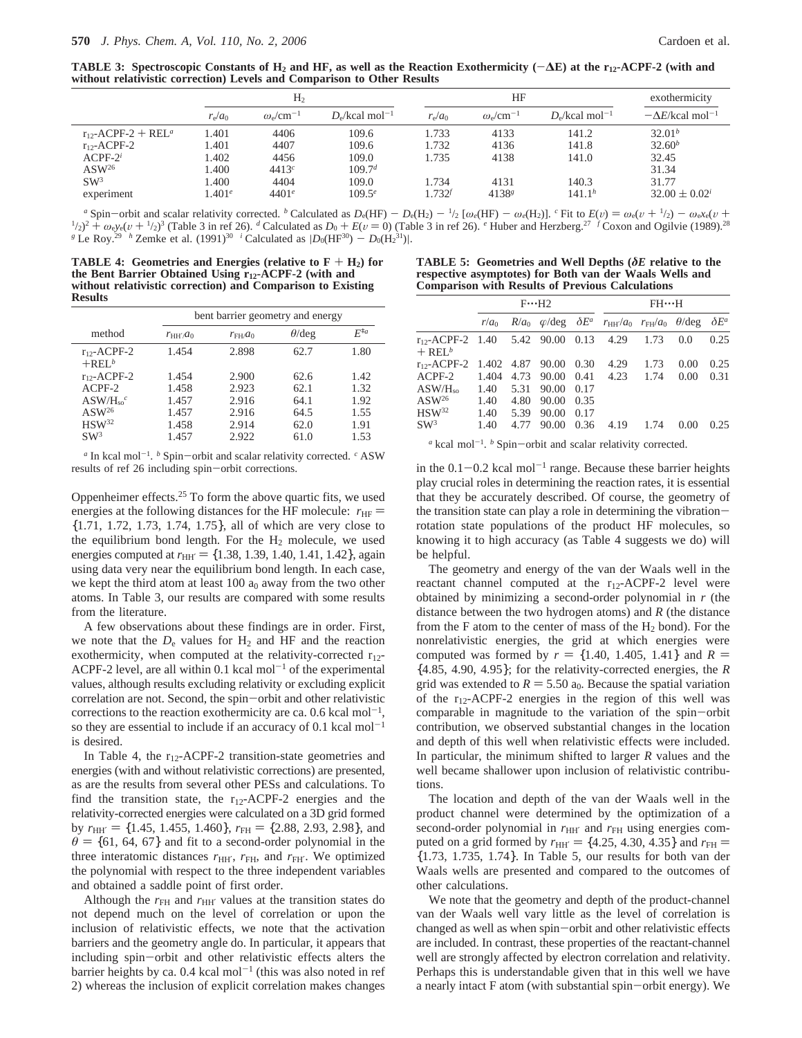**TABLE 3: Spectroscopic Constants of H2 and HF, as well as the Reaction Exothermicity (**-**∆E) at the r12-ACPF-2 (with and without relativistic correction) Levels and Comparison to Other Results**

|                                     |                 | H <sub>2</sub>                 |                                           |                 | HF                                 |                                           | exothermicity                             |  |
|-------------------------------------|-----------------|--------------------------------|-------------------------------------------|-----------------|------------------------------------|-------------------------------------------|-------------------------------------------|--|
|                                     | $r_{\rm e}/a_0$ | $\omega_{\rm e} / \rm cm^{-1}$ | $D_{\rm e}/\text{kcal}$ mol <sup>-1</sup> | $r_{\rm e}/a_0$ | $\omega_{\rm e}$ /cm <sup>-1</sup> | $D_{\rm e}/\text{kcal}$ mol <sup>-1</sup> | $-\Delta E/\text{kcal}$ mol <sup>-1</sup> |  |
| $r_{12}$ -ACPF-2 + REL <sup>a</sup> | 1.401           | 4406                           | 109.6                                     | 1.733           | 4133                               | 141.2                                     | $32.01^b$                                 |  |
| $r_{12}$ -ACPF-2                    | 1.401           | 4407                           | 109.6                                     | 1.732           | 4136                               | 141.8                                     | $32.60^b$                                 |  |
| $ACPF-2^i$                          | 1.402           | 4456                           | 109.0                                     | 1.735           | 4138                               | 141.0                                     | 32.45                                     |  |
| $\text{ASW}^{26}$                   | 1.400           | 4413c                          | 109.7 <sup>d</sup>                        |                 |                                    |                                           | 31.34                                     |  |
| SW <sup>3</sup>                     | 1.400           | 4404                           | 109.0                                     | 1.734           | 4131                               | 140.3                                     | 31.77                                     |  |
| experiment                          | $1.401^e$       | $4401^e$                       | $109.5^e$                                 | $1.732^{f}$     | $4138^{g}$                         | 141.1 <sup>h</sup>                        | $32.00 \pm 0.02^i$                        |  |

<sup>a</sup> Spin–orbit and scalar relativity corrected. <sup>b</sup> Calculated as  $D_e(HF) = D_e(H_2) = \frac{1}{2} [\omega_e(HF) - \omega_e(H_2)]$ . <sup>c</sup> Fit to  $E(v) = \omega_e(v + \frac{1}{2}) - \omega_e x_e(v + \frac{1}{2})$  $\frac{1}{2}$ )<sup>2</sup> +  $\omega_e$ y<sub>e</sub>(v +  $\frac{1}{2}$ )<sup>3</sup> (Table 3 in ref 26). <sup>*d*</sup> Calculated as  $D_0 + E(v = 0)$  (Table 3 in ref 26). <sup>*e*</sup> Huber and Herzberg.<sup>27</sup> *f* Coxon and Ogilvie (1989).<sup>28</sup><br>Le Roy<sup>29</sup> <sup>h</sup> Zemke et al. (1991)<sup>30</sup> *g* Le Roy.<sup>29</sup> *h* Zemke et al.  $(1991)^{30}$  *i* Calculated as  $|D_0(HF^{30}) - D_0(H_2^{31})|$ .

**TABLE 4:** Geometries and Energies (relative to  $F + H_2$ ) for **the Bent Barrier Obtained Using r12-ACPF-2 (with and without relativistic correction) and Comparison to Existing Results**

|                               |                 | bent barrier geometry and energy |               |                  |  |  |
|-------------------------------|-----------------|----------------------------------|---------------|------------------|--|--|
| method                        | $r_{HH'}$ $a_0$ | $r_{FH}/a_0$                     | $\theta$ /deg | $F^{\ddagger a}$ |  |  |
| $r_{12}$ -ACPF-2<br>$+REL^b$  | 1.454           | 2.898                            | 62.7          | 1.80             |  |  |
| $r_{12}$ -ACPF-2              | 1.454           | 2.900                            | 62.6          | 1.42             |  |  |
| $ACPF-2$                      | 1.458           | 2.923                            | 62.1          | 1.32             |  |  |
| $\rm ASW/H_{so}$ <sup>c</sup> | 1.457           | 2.916                            | 64.1          | 1.92             |  |  |
| $ASW^{26}$                    | 1.457           | 2.916                            | 64.5          | 1.55             |  |  |
| $HSW^{32}$                    | 1.458           | 2.914                            | 62.0          | 1.91             |  |  |
| SW <sup>3</sup>               | 1.457           | 2.922                            | 61.0          | 1.53             |  |  |

*<sup>a</sup>* In kcal mol-1. *<sup>b</sup>* Spin-orbit and scalar relativity corrected. *<sup>c</sup>* ASW results of ref 26 including spin-orbit corrections.

Oppenheimer effects.25 To form the above quartic fits, we used energies at the following distances for the HF molecule:  $r_{\text{HF}} =$ {1.71, 1.72, 1.73, 1.74, 1.75}, all of which are very close to the equilibrium bond length. For the  $H_2$  molecule, we used energies computed at  $r_{\text{HH'}} = \{1.38, 1.39, 1.40, 1.41, 1.42\}$ , again using data very near the equilibrium bond length. In each case, we kept the third atom at least  $100 a<sub>0</sub>$  away from the two other atoms. In Table 3, our results are compared with some results from the literature.

A few observations about these findings are in order. First, we note that the  $D_e$  values for  $H_2$  and HF and the reaction exothermicity, when computed at the relativity-corrected  $r_{12}$ -ACPF-2 level, are all within 0.1 kcal mol<sup>-1</sup> of the experimental values, although results excluding relativity or excluding explicit correlation are not. Second, the spin-orbit and other relativistic corrections to the reaction exothermicity are ca. 0.6 kcal mol<sup>-1</sup>, so they are essential to include if an accuracy of  $0.1$  kcal mol<sup>-1</sup> is desired.

In Table 4, the  $r_{12}$ -ACPF-2 transition-state geometries and energies (with and without relativistic corrections) are presented, as are the results from several other PESs and calculations. To find the transition state, the  $r_{12}$ -ACPF-2 energies and the relativity-corrected energies were calculated on a 3D grid formed by  $r_{HH'} = \{1.45, 1.455, 1.460\}$ ,  $r_{FH} = \{2.88, 2.93, 2.98\}$ , and  $\theta$  = {61, 64, 67} and fit to a second-order polynomial in the three interatomic distances  $r_{HH'}$ ,  $r_{FH}$ , and  $r_{FH'}$ . We optimized the polynomial with respect to the three independent variables and obtained a saddle point of first order.

Although the  $r<sub>FH</sub>$  and  $r<sub>HH'</sub>$  values at the transition states do not depend much on the level of correlation or upon the inclusion of relativistic effects, we note that the activation barriers and the geometry angle do. In particular, it appears that including spin-orbit and other relativistic effects alters the barrier heights by ca. 0.4 kcal mol<sup> $-1$ </sup> (this was also noted in ref 2) whereas the inclusion of explicit correlation makes changes

**TABLE 5: Geometries and Well Depths (***δE* **relative to the respective asymptotes) for Both van der Waals Wells and Comparison with Results of Previous Calculations**

|                                                               |               | $F \cdot \cdot \cdot H2$ |                |              | $FH$ $\cdots$ H                                                             |      |      |              |
|---------------------------------------------------------------|---------------|--------------------------|----------------|--------------|-----------------------------------------------------------------------------|------|------|--------------|
|                                                               | $r/a_0$       |                          |                |              | $R/a_0$ $\varphi$ /deg $\delta E^a$ $r_{HH}/a_0$ $r_{FH}/a_0$ $\theta$ /deg |      |      | $\delta E^a$ |
| $r_{12}$ -ACPF-2 1.40 5.42 90.00 0.13<br>$+$ REL <sup>b</sup> |               |                          |                |              | 4.29                                                                        | 1.73 | 0.0  | 0.25         |
| $r_{12}$ -ACPF-2 1.402 4.87 90.00 0.30                        |               |                          |                |              | 4.29                                                                        | 1.73 | 0.00 | 0.25         |
| $ACPF-2$<br>$\rm ASW/H_{so}$                                  | 1.404<br>1.40 | 4.73<br>5.31             | 90.00<br>90.00 | 0.41<br>0.17 | 4.23                                                                        | 1.74 | 0.00 | 0.31         |
| $ASW^{26}$                                                    | 1.40          | 4.80                     | 90.00          | 0.35         |                                                                             |      |      |              |
| $HSW^{32}$<br>$\text{SW}^3$                                   | 1.40<br>1.40  | 5.39<br>4.77             | 90.00<br>90.00 | 0.17<br>0.36 | 4.19                                                                        | 1.74 | 0.00 | 0.25         |
|                                                               |               |                          |                |              |                                                                             |      |      |              |

*a* kcal mol<sup>-1</sup>. *b* Spin-orbit and scalar relativity corrected.

in the  $0.1-0.2$  kcal mol<sup>-1</sup> range. Because these barrier heights play crucial roles in determining the reaction rates, it is essential that they be accurately described. Of course, the geometry of the transition state can play a role in determining the vibrationrotation state populations of the product HF molecules, so knowing it to high accuracy (as Table 4 suggests we do) will be helpful.

The geometry and energy of the van der Waals well in the reactant channel computed at the  $r_{12}$ -ACPF-2 level were obtained by minimizing a second-order polynomial in *r* (the distance between the two hydrogen atoms) and *R* (the distance from the F atom to the center of mass of the  $H_2$  bond). For the nonrelativistic energies, the grid at which energies were computed was formed by  $r = \{1.40, 1.405, 1.41\}$  and  $R =$ {4.85, 4.90, 4.95}; for the relativity-corrected energies, the *R* grid was extended to  $R = 5.50$  a<sub>0</sub>. Because the spatial variation of the  $r_{12}$ -ACPF-2 energies in the region of this well was comparable in magnitude to the variation of the spin-orbit contribution, we observed substantial changes in the location and depth of this well when relativistic effects were included. In particular, the minimum shifted to larger *R* values and the well became shallower upon inclusion of relativistic contributions.

The location and depth of the van der Waals well in the product channel were determined by the optimization of a second-order polynomial in  $r_{HH'}$  and  $r_{FH}$  using energies computed on a grid formed by  $r_{HH'} = \{4.25, 4.30, 4.35\}$  and  $r_{FH} =$ {1.73, 1.735, 1.74}. In Table 5, our results for both van der Waals wells are presented and compared to the outcomes of other calculations.

We note that the geometry and depth of the product-channel van der Waals well vary little as the level of correlation is changed as well as when spin-orbit and other relativistic effects are included. In contrast, these properties of the reactant-channel well are strongly affected by electron correlation and relativity. Perhaps this is understandable given that in this well we have a nearly intact F atom (with substantial spin-orbit energy). We